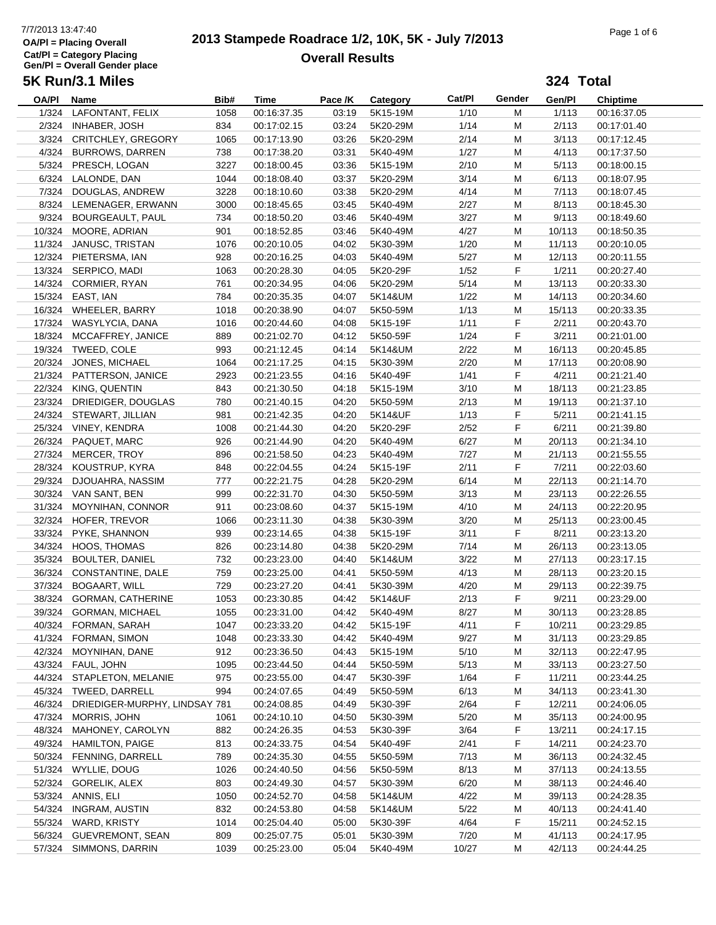## 7/7/2013 13:47:40<br> **2013 Stampede Roadrace 1/2, 10K, 5K - July 7/2013** Page 1 of 6 **Overall Results**

|            | 5K Run/3.1 Miles                                 |            |                    |         |                  |              |         | 324 Total       |                            |
|------------|--------------------------------------------------|------------|--------------------|---------|------------------|--------------|---------|-----------------|----------------------------|
| OA/PI Name |                                                  | Bib#       | Time               | Pace /K | Category         | Cat/PI       | Gender  | Gen/Pl          | <b>Chiptime</b>            |
|            | 1/324 LAFONTANT, FELIX                           | 1058       | 00:16:37.35        | 03:19   | 5K15-19M         | 1/10         | M       | 1/113           | 00:16:37.05                |
|            | 2/324 INHABER, JOSH                              | 834        | 00:17:02.15        | 03:24   | 5K20-29M         | 1/14         | M       | 2/113           | 00:17:01.40                |
|            | 3/324 CRITCHLEY, GREGORY                         | 1065       | 00:17:13.90        | 03:26   | 5K20-29M         | 2/14         | M       | 3/113           | 00:17:12.45                |
|            | 4/324 BURROWS, DARREN                            | 738        | 00:17:38.20        | 03:31   | 5K40-49M         | 1/27         | M       | 4/113           | 00:17:37.50                |
|            | 5/324 PRESCH, LOGAN                              | 3227       | 00:18:00.45        | 03:36   | 5K15-19M         | 2/10         | M       | 5/113           | 00:18:00.15                |
|            | 6/324 LALONDE, DAN                               | 1044       | 00:18:08.40        | 03:37   | 5K20-29M         | 3/14         | M       | 6/113           | 00:18:07.95                |
|            | 7/324 DOUGLAS, ANDREW                            | 3228       | 00:18:10.60        | 03:38   | 5K20-29M         | 4/14         | M       | 7/113           | 00:18:07.45                |
|            | 8/324 LEMENAGER, ERWANN                          | 3000       | 00:18:45.65        | 03:45   | 5K40-49M         | 2/27         | M       | 8/113           | 00:18:45.30                |
|            | 9/324 BOURGEAULT, PAUL                           | 734        | 00:18:50.20        | 03:46   | 5K40-49M         | 3/27         | M       | 9/113           | 00:18:49.60                |
|            | 10/324 MOORE, ADRIAN                             | 901        | 00:18:52.85        | 03:46   | 5K40-49M         | 4/27         | м       | 10/113          | 00:18:50.35                |
|            | 11/324 JANUSC, TRISTAN                           | 1076       | 00:20:10.05        | 04:02   | 5K30-39M         | 1/20         | м       | 11/113          | 00:20:10.05                |
|            | 12/324 PIETERSMA, IAN                            | 928        | 00:20:16.25        | 04:03   | 5K40-49M         | 5/27         | M       | 12/113          | 00:20:11.55                |
|            | 13/324 SERPICO, MADI                             | 1063       | 00:20:28.30        | 04:05   | 5K20-29F         | 1/52         | F       | 1/211           | 00:20:27.40                |
|            | 14/324 CORMIER, RYAN                             | 761        | 00:20:34.95        | 04:06   | 5K20-29M         | 5/14         | M       | 13/113          | 00:20:33.30                |
|            | 15/324 EAST, IAN                                 | 784        | 00:20:35.35        | 04:07   | 5K14&UM          | 1/22         | M       | 14/113          | 00:20:34.60                |
|            | 16/324 WHEELER, BARRY                            | 1018       | 00:20:38.90        | 04:07   | 5K50-59M         | 1/13         | M       | 15/113          | 00:20:33.35                |
|            | 17/324 WASYLYCIA, DANA                           | 1016       | 00:20:44.60        | 04:08   | 5K15-19F         | 1/11         | F       | 2/211           | 00:20:43.70                |
|            | 18/324 MCCAFFREY, JANICE                         | 889        | 00:21:02.70        | 04:12   | 5K50-59F         | 1/24         | F       | 3/211           | 00:21:01.00                |
|            | 19/324 TWEED, COLE                               | 993        | 00:21:12.45        | 04:14   | 5K14&UM          | 2/22         | M       | 16/113          | 00:20:45.85                |
|            | 20/324 JONES, MICHAEL                            | 1064       | 00:21:17.25        | 04:15   | 5K30-39M         | 2/20         | M       | 17/113          | 00:20:08.90                |
|            | 21/324 PATTERSON, JANICE                         | 2923       | 00:21:23.55        | 04:16   | 5K40-49F         | 1/41         | F       | 4/211           | 00:21:21.40                |
|            | 22/324 KING, QUENTIN                             | 843        | 00:21:30.50        | 04:18   | 5K15-19M         | 3/10         | M       | 18/113          | 00:21:23.85                |
|            | 23/324 DRIEDIGER, DOUGLAS                        | 780        | 00:21:40.15        | 04:20   | 5K50-59M         | 2/13         | M       | 19/113          | 00:21:37.10                |
|            | 24/324 STEWART, JILLIAN                          | 981        | 00:21:42.35        | 04:20   | 5K14&UF          | 1/13         | F       | 5/211           | 00:21:41.15                |
|            | 25/324 VINEY, KENDRA                             | 1008       | 00:21:44.30        | 04:20   | 5K20-29F         | 2/52         | F       | 6/211           | 00:21:39.80                |
| 26/324     | PAQUET, MARC                                     | 926        | 00:21:44.90        | 04:20   | 5K40-49M         | 6/27         | м       | 20/113          | 00:21:34.10                |
|            | 27/324 MERCER, TROY                              | 896        | 00:21:58.50        | 04:23   | 5K40-49M         | 7/27         | M       | 21/113          | 00:21:55.55                |
|            | 28/324 KOUSTRUP, KYRA                            | 848        | 00:22:04.55        | 04:24   | 5K15-19F         | 2/11         | F       | 7/211           | 00:22:03.60                |
| 29/324     | DJOUAHRA, NASSIM                                 | 777        | 00:22:21.75        | 04:28   | 5K20-29M         | 6/14         | M       | 22/113          | 00:21:14.70                |
|            | 30/324 VAN SANT, BEN                             | 999        | 00:22:31.70        | 04:30   | 5K50-59M         | 3/13         | M       | 23/113          | 00:22:26.55                |
|            | 31/324 MOYNIHAN, CONNOR                          | 911        | 00:23:08.60        | 04:37   | 5K15-19M         | 4/10         | M       | 24/113          | 00:22:20.95                |
|            | 32/324 HOFER, TREVOR                             | 1066       | 00:23:11.30        | 04:38   | 5K30-39M         | 3/20         | M       | 25/113          | 00:23:00.45                |
| 33/324     | PYKE, SHANNON                                    | 939        | 00:23:14.65        | 04:38   | 5K15-19F         | 3/11         | F       |                 |                            |
|            | 34/324 HOOS, THOMAS                              | 826        | 00:23:14.80        | 04:38   | 5K20-29M         | 7/14         |         | 8/211<br>26/113 | 00:23:13.20<br>00:23:13.05 |
| 35/324     | <b>BOULTER, DANIEL</b>                           | 732        | 00:23:23.00        | 04:40   | 5K14&UM          | 3/22         | м<br>M  | 27/113          | 00:23:17.15                |
|            |                                                  |            |                    |         |                  |              |         |                 | 00:23:20.15                |
|            | 36/324 CONSTANTINE, DALE<br>37/324 BOGAART, WILL | 759<br>729 | 00:23:25.00        | 04:41   | 5K50-59M         | 4/13<br>4/20 | M       | 28/113          |                            |
|            |                                                  |            | 00:23:27.20        | 04:41   | 5K30-39M         |              | M<br>F. | 29/113          | 00:22:39.75                |
|            | 38/324 GORMAN, CATHERINE                         |            | 1053   00:23:30.85 |         | 04:42    5K14&UF | 2/13         |         | 9/211           | 00:23:29.00                |
|            | 39/324 GORMAN, MICHAEL                           | 1055       | 00:23:31.00        | 04:42   | 5K40-49M         | 8/27         | M       | 30/113          | 00:23:28.85                |
|            | 40/324 FORMAN, SARAH                             | 1047       | 00:23:33.20        | 04:42   | 5K15-19F         | 4/11         | F       | 10/211          | 00:23:29.85                |
|            | 41/324 FORMAN, SIMON                             | 1048       | 00:23:33.30        | 04:42   | 5K40-49M         | 9/27         | M       | 31/113          | 00:23:29.85                |
|            | 42/324 MOYNIHAN, DANE                            | 912        | 00:23:36.50        | 04:43   | 5K15-19M         | 5/10         | M       | 32/113          | 00:22:47.95                |
|            | 43/324 FAUL, JOHN                                | 1095       | 00:23:44.50        | 04:44   | 5K50-59M         | 5/13         | M       | 33/113          | 00:23:27.50                |
|            | 44/324 STAPLETON, MELANIE                        | 975        | 00:23:55.00        | 04:47   | 5K30-39F         | 1/64         | F       | 11/211          | 00:23:44.25                |
|            | 45/324 TWEED, DARRELL                            | 994        | 00:24:07.65        | 04:49   | 5K50-59M         | 6/13         | M       | 34/113          | 00:23:41.30                |
|            | 46/324 DRIEDIGER-MURPHY, LINDSAY 781             |            | 00:24:08.85        | 04:49   | 5K30-39F         | 2/64         | F.      | 12/211          | 00:24:06.05                |
|            | 47/324 MORRIS, JOHN                              | 1061       | 00:24:10.10        | 04:50   | 5K30-39M         | 5/20         | M       | 35/113          | 00:24:00.95                |
|            | 48/324 MAHONEY, CAROLYN                          | 882        | 00:24:26.35        | 04:53   | 5K30-39F         | 3/64         | F.      | 13/211          | 00:24:17.15                |
|            | 49/324 HAMILTON, PAIGE                           | 813        | 00:24:33.75        | 04:54   | 5K40-49F         | 2/41         | F       | 14/211          | 00:24:23.70                |
|            | 50/324 FENNING, DARRELL                          | 789        | 00:24:35.30        | 04:55   | 5K50-59M         | 7/13         | M       | 36/113          | 00:24:32.45                |
|            | 51/324 WYLLIE, DOUG                              | 1026       | 00:24:40.50        | 04:56   | 5K50-59M         | 8/13         | M       | 37/113          | 00:24:13.55                |
|            | 52/324 GORELIK, ALEX                             | 803        | 00:24:49.30        | 04:57   | 5K30-39M         | 6/20         | M       | 38/113          | 00:24:46.40                |
|            | 53/324 ANNIS, ELI                                | 1050       | 00:24:52.70        | 04:58   | 5K14&UM          | 4/22         | M       | 39/113          | 00:24:28.35                |
|            | 54/324 INGRAM, AUSTIN                            | 832        | 00:24:53.80        | 04:58   | 5K14&UM          | 5/22         | M       | 40/113          | 00:24:41.40                |
|            | 55/324 WARD, KRISTY                              | 1014       | 00:25:04.40        | 05:00   | 5K30-39F         | 4/64         | F       | 15/211          | 00:24:52.15                |
|            | 56/324 GUEVREMONT, SEAN                          | 809        | 00:25:07.75        | 05:01   | 5K30-39M         | 7/20         | M       | 41/113          | 00:24:17.95                |
| 57/324     | SIMMONS, DARRIN                                  | 1039       | 00:25:23.00        | 05:04   | 5K40-49M         | 10/27        | M       | 42/113          | 00:24:44.25                |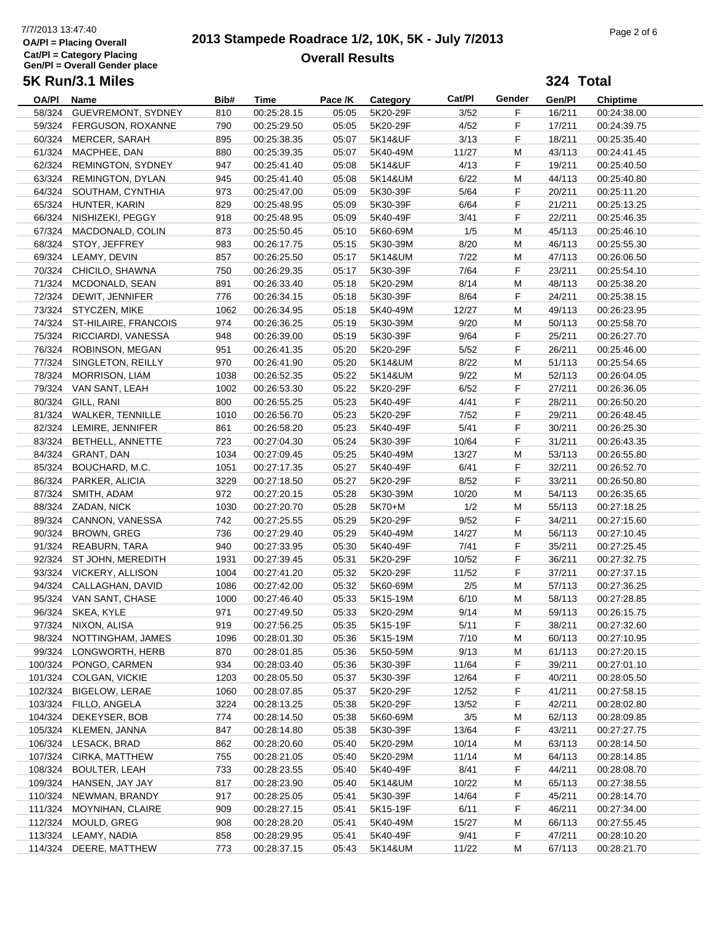## 7/7/2013 13:47:40<br> **2013 Stampede Roadrace 1/2, 10K, 5K - July 7/2013** Page 2 of 6 **Overall Results**

**324 Total**

| OA/PI  | Name                        | Bib# | Time        | Pace /K | Category | Cat/PI | Gender | Gen/Pl | <b>Chiptime</b> |
|--------|-----------------------------|------|-------------|---------|----------|--------|--------|--------|-----------------|
| 58/324 | GUEVREMONT, SYDNEY          | 810  | 00:25:28.15 | 05:05   | 5K20-29F | 3/52   | F      | 16/211 | 00:24:38.00     |
|        | 59/324 FERGUSON, ROXANNE    | 790  | 00:25:29.50 | 05:05   | 5K20-29F | 4/52   | F      | 17/211 | 00:24:39.75     |
|        | 60/324 MERCER, SARAH        | 895  | 00:25:38.35 | 05:07   | 5K14&UF  | 3/13   | F      | 18/211 | 00:25:35.40     |
|        | 61/324 MACPHEE, DAN         | 880  | 00:25:39.35 | 05:07   | 5K40-49M | 11/27  | M      | 43/113 | 00:24:41.45     |
|        | 62/324 REMINGTON, SYDNEY    | 947  | 00:25:41.40 | 05:08   | 5K14&UF  | 4/13   | F      | 19/211 | 00:25:40.50     |
|        | 63/324 REMINGTON, DYLAN     | 945  | 00:25:41.40 | 05:08   | 5K14&UM  | 6/22   | M      | 44/113 | 00:25:40.80     |
|        | 64/324 SOUTHAM, CYNTHIA     | 973  | 00:25:47.00 | 05:09   | 5K30-39F | 5/64   | F      | 20/211 | 00:25:11.20     |
|        | 65/324 HUNTER, KARIN        | 829  | 00:25:48.95 | 05:09   | 5K30-39F | 6/64   | F      | 21/211 | 00:25:13.25     |
|        | 66/324 NISHIZEKI, PEGGY     | 918  | 00:25:48.95 | 05:09   | 5K40-49F | 3/41   | F      | 22/211 | 00:25:46.35     |
|        | 67/324 MACDONALD, COLIN     | 873  | 00:25:50.45 | 05:10   | 5K60-69M | 1/5    | М      | 45/113 | 00:25:46.10     |
|        | 68/324 STOY, JEFFREY        | 983  | 00:26:17.75 | 05:15   | 5K30-39M | 8/20   | M      | 46/113 | 00:25:55.30     |
|        | 69/324 LEAMY, DEVIN         | 857  | 00:26:25.50 | 05:17   | 5K14&UM  | 7/22   | M      | 47/113 | 00:26:06.50     |
|        | 70/324 CHICILO, SHAWNA      | 750  | 00:26:29.35 | 05:17   | 5K30-39F | 7/64   | F      | 23/211 | 00:25:54.10     |
|        | 71/324 MCDONALD, SEAN       | 891  | 00:26:33.40 | 05:18   | 5K20-29M | 8/14   | M      | 48/113 | 00:25:38.20     |
|        | 72/324 DEWIT, JENNIFER      | 776  | 00:26:34.15 | 05:18   | 5K30-39F | 8/64   | F      | 24/211 | 00:25:38.15     |
|        | 73/324 STYCZEN, MIKE        | 1062 | 00:26:34.95 | 05:18   | 5K40-49M | 12/27  | M      | 49/113 | 00:26:23.95     |
|        | 74/324 ST-HILAIRE, FRANCOIS | 974  | 00:26:36.25 | 05:19   | 5K30-39M | 9/20   | М      | 50/113 | 00:25:58.70     |
|        | 75/324 RICCIARDI, VANESSA   | 948  | 00:26:39.00 | 05:19   | 5K30-39F | 9/64   | F      | 25/211 | 00:26:27.70     |
|        | 76/324 ROBINSON, MEGAN      | 951  | 00:26:41.35 | 05:20   | 5K20-29F | 5/52   | F      | 26/211 | 00:25:46.00     |
|        | 77/324 SINGLETON, REILLY    | 970  | 00:26:41.90 | 05:20   | 5K14&UM  | 8/22   | M      | 51/113 | 00:25:54.65     |
|        | 78/324 MORRISON, LIAM       | 1038 | 00:26:52.35 | 05:22   | 5K14&UM  | 9/22   | M      | 52/113 | 00:26:04.05     |
|        | 79/324 VAN SANT, LEAH       | 1002 | 00:26:53.30 | 05:22   | 5K20-29F | 6/52   | F      | 27/211 | 00:26:36.05     |
|        | 80/324 GILL, RANI           | 800  | 00:26:55.25 | 05:23   | 5K40-49F | 4/41   | F      | 28/211 | 00:26:50.20     |
|        | 81/324 WALKER, TENNILLE     | 1010 | 00:26:56.70 | 05:23   | 5K20-29F | 7/52   | F      | 29/211 | 00:26:48.45     |
|        | 82/324 LEMIRE, JENNIFER     | 861  | 00:26:58.20 | 05:23   | 5K40-49F | 5/41   | F      | 30/211 | 00:26:25.30     |
|        | 83/324 BETHELL, ANNETTE     | 723  | 00:27:04.30 | 05:24   | 5K30-39F | 10/64  | F      | 31/211 | 00:26:43.35     |
|        | 84/324 GRANT, DAN           | 1034 | 00:27:09.45 | 05:25   | 5K40-49M | 13/27  | M      | 53/113 | 00:26:55.80     |
|        | 85/324 BOUCHARD, M.C.       | 1051 | 00:27:17.35 | 05:27   | 5K40-49F | 6/41   | F      | 32/211 | 00:26:52.70     |
|        | 86/324 PARKER, ALICIA       | 3229 | 00:27:18.50 | 05:27   | 5K20-29F | 8/52   | F      | 33/211 | 00:26:50.80     |
|        | 87/324 SMITH, ADAM          | 972  | 00:27:20.15 | 05:28   | 5K30-39M | 10/20  | M      | 54/113 | 00:26:35.65     |
|        | 88/324 ZADAN, NICK          | 1030 | 00:27:20.70 | 05:28   | 5K70+M   | 1/2    | M      | 55/113 | 00:27:18.25     |
|        | 89/324 CANNON, VANESSA      | 742  | 00:27:25.55 | 05:29   | 5K20-29F | 9/52   | F      | 34/211 | 00:27:15.60     |
|        | 90/324 BROWN, GREG          | 736  | 00:27:29.40 | 05:29   | 5K40-49M | 14/27  | М      | 56/113 | 00:27:10.45     |
|        | 91/324 REABURN, TARA        | 940  | 00:27:33.95 | 05:30   | 5K40-49F | 7/41   | F      | 35/211 | 00:27:25.45     |
|        | 92/324 ST JOHN, MEREDITH    | 1931 | 00:27:39.45 | 05:31   | 5K20-29F | 10/52  | F      | 36/211 | 00:27:32.75     |
|        | 93/324 VICKERY, ALLISON     | 1004 | 00:27:41.20 | 05:32   | 5K20-29F | 11/52  | F      | 37/211 | 00:27:37.15     |
|        | 94/324 CALLAGHAN, DAVID     | 1086 | 00:27:42.00 | 05:32   | 5K60-69M | 2/5    | M      | 57/113 | 00:27:36.25     |
|        | 95/324 VAN SANT, CHASE      | 1000 | 00:27:46.40 | 05:33   | 5K15-19M | 6/10   | M      | 58/113 | 00:27:28.85     |
|        | 96/324 SKEA, KYLE           | 971  | 00:27:49.50 | 05:33   | 5K20-29M | 9/14   | M      | 59/113 | 00:26:15.75     |
|        | 97/324 NIXON, ALISA         | 919  | 00:27:56.25 | 05:35   | 5K15-19F | 5/11   | F      | 38/211 | 00:27:32.60     |
|        | 98/324 NOTTINGHAM, JAMES    | 1096 | 00:28:01.30 | 05:36   | 5K15-19M | 7/10   | М      | 60/113 | 00:27:10.95     |
|        | 99/324 LONGWORTH, HERB      | 870  | 00:28:01.85 | 05:36   | 5K50-59M | 9/13   | M      | 61/113 | 00:27:20.15     |
|        | 100/324 PONGO, CARMEN       | 934  | 00:28:03.40 | 05:36   | 5K30-39F | 11/64  | F      | 39/211 | 00:27:01.10     |
|        | 101/324 COLGAN, VICKIE      | 1203 | 00:28:05.50 | 05:37   | 5K30-39F | 12/64  | F      | 40/211 | 00:28:05.50     |
|        | 102/324 BIGELOW, LERAE      | 1060 | 00:28:07.85 | 05:37   | 5K20-29F | 12/52  | F      | 41/211 | 00:27:58.15     |
|        | 103/324 FILLO, ANGELA       | 3224 | 00:28:13.25 | 05:38   | 5K20-29F | 13/52  | F      | 42/211 | 00:28:02.80     |
|        | 104/324 DEKEYSER, BOB       | 774  | 00:28:14.50 | 05:38   | 5K60-69M | 3/5    | М      | 62/113 | 00:28:09.85     |
|        | 105/324 KLEMEN, JANNA       | 847  | 00:28:14.80 | 05:38   | 5K30-39F | 13/64  | F      | 43/211 | 00:27:27.75     |
|        | 106/324 LESACK, BRAD        | 862  | 00:28:20.60 | 05:40   | 5K20-29M | 10/14  | М      | 63/113 | 00:28:14.50     |
|        | 107/324 CIRKA, MATTHEW      | 755  | 00:28:21.05 | 05:40   | 5K20-29M | 11/14  | М      | 64/113 | 00:28:14.85     |
|        | 108/324 BOULTER, LEAH       | 733  | 00:28:23.55 | 05:40   | 5K40-49F | 8/41   | F      | 44/211 | 00:28:08.70     |
|        | 109/324 HANSEN, JAY JAY     | 817  | 00:28:23.90 | 05:40   | 5K14&UM  | 10/22  | М      | 65/113 | 00:27:38.55     |
|        | 110/324 NEWMAN, BRANDY      | 917  | 00:28:25.05 | 05:41   | 5K30-39F | 14/64  | F      | 45/211 | 00:28:14.70     |
|        | 111/324 MOYNIHAN, CLAIRE    | 909  | 00:28:27.15 | 05:41   | 5K15-19F | 6/11   | F      | 46/211 | 00:27:34.00     |
|        | 112/324 MOULD, GREG         | 908  | 00:28:28.20 | 05:41   | 5K40-49M | 15/27  | М      | 66/113 | 00:27:55.45     |
|        | 113/324 LEAMY, NADIA        | 858  | 00:28:29.95 | 05:41   | 5K40-49F | 9/41   | F      | 47/211 | 00:28:10.20     |
|        | 114/324 DEERE, MATTHEW      | 773  | 00:28:37.15 | 05:43   | 5K14&UM  | 11/22  | M      | 67/113 | 00:28:21.70     |
|        |                             |      |             |         |          |        |        |        |                 |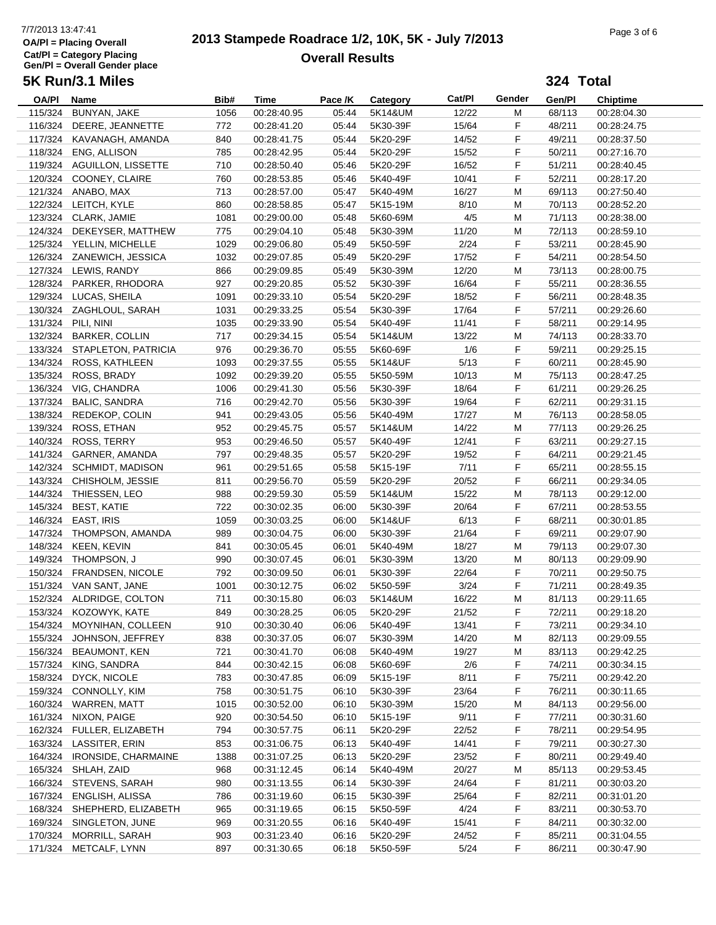## 7/7/2013 13:47:41<br> **2013 Stampede Roadrace 1/2, 10K, 5K - July 7/2013** Page 3 of 6 **Overall Results**

|              | 5K Run/3.1 Miles            |      |             |         |                  |        |        | 324 Total |                 |
|--------------|-----------------------------|------|-------------|---------|------------------|--------|--------|-----------|-----------------|
| <b>OA/PI</b> | Name                        | Bib# | Time        | Pace /K | Category         | Cat/PI | Gender | Gen/Pl    | <b>Chiptime</b> |
| 115/324      | BUNYAN, JAKE                | 1056 | 00:28:40.95 | 05:44   | 5K14&UM          | 12/22  | M      | 68/113    | 00:28:04.30     |
|              | 116/324 DEERE, JEANNETTE    | 772  | 00:28:41.20 | 05:44   | 5K30-39F         | 15/64  | F.     | 48/211    | 00:28:24.75     |
|              | 117/324 KAVANAGH, AMANDA    | 840  | 00:28:41.75 | 05:44   | 5K20-29F         | 14/52  | F      | 49/211    | 00:28:37.50     |
|              | 118/324 ENG, ALLISON        | 785  | 00:28:42.95 | 05:44   | 5K20-29F         | 15/52  | F      | 50/211    | 00:27:16.70     |
|              | 119/324 AGUILLON, LISSETTE  | 710  | 00:28:50.40 | 05:46   | 5K20-29F         | 16/52  | F      | 51/211    | 00:28:40.45     |
|              | 120/324 COONEY, CLAIRE      | 760  | 00:28:53.85 | 05:46   | 5K40-49F         | 10/41  | F      | 52/211    | 00:28:17.20     |
|              | 121/324 ANABO, MAX          | 713  | 00:28:57.00 | 05:47   | 5K40-49M         | 16/27  | M      | 69/113    | 00:27:50.40     |
|              | 122/324 LEITCH, KYLE        | 860  | 00:28:58.85 | 05:47   | 5K15-19M         | 8/10   | M      | 70/113    | 00:28:52.20     |
|              | 123/324 CLARK, JAMIE        | 1081 | 00:29:00.00 | 05:48   | 5K60-69M         | 4/5    | M      | 71/113    | 00:28:38.00     |
|              | 124/324 DEKEYSER, MATTHEW   | 775  | 00:29:04.10 | 05:48   | 5K30-39M         | 11/20  | M      | 72/113    | 00:28:59.10     |
|              | 125/324 YELLIN, MICHELLE    | 1029 | 00:29:06.80 | 05:49   | 5K50-59F         | 2/24   | F      | 53/211    | 00:28:45.90     |
|              | 126/324 ZANEWICH, JESSICA   | 1032 | 00:29:07.85 | 05:49   | 5K20-29F         | 17/52  | F      | 54/211    | 00:28:54.50     |
|              | 127/324 LEWIS, RANDY        | 866  | 00:29:09.85 | 05:49   | 5K30-39M         | 12/20  | M      | 73/113    | 00:28:00.75     |
|              | 128/324 PARKER, RHODORA     | 927  | 00:29:20.85 | 05:52   | 5K30-39F         | 16/64  | F      | 55/211    | 00:28:36.55     |
|              | 129/324 LUCAS, SHEILA       | 1091 | 00:29:33.10 | 05:54   | 5K20-29F         | 18/52  | F      | 56/211    | 00:28:48.35     |
|              | 130/324 ZAGHLOUL, SARAH     | 1031 | 00:29:33.25 | 05:54   | 5K30-39F         | 17/64  | F.     | 57/211    | 00:29:26.60     |
|              | 131/324 PILI, NINI          | 1035 | 00:29:33.90 | 05:54   | 5K40-49F         | 11/41  | F      | 58/211    | 00:29:14.95     |
|              | 132/324 BARKER, COLLIN      | 717  | 00:29:34.15 | 05:54   | 5K14&UM          | 13/22  | M      | 74/113    | 00:28:33.70     |
|              | 133/324 STAPLETON, PATRICIA | 976  | 00:29:36.70 | 05:55   | 5K60-69F         | 1/6    | F      | 59/211    | 00:29:25.15     |
|              | 134/324 ROSS, KATHLEEN      | 1093 | 00:29:37.55 | 05:55   | 5K14&UF          | 5/13   | F      | 60/211    | 00:28:45.90     |
| 135/324      | ROSS, BRADY                 | 1092 | 00:29:39.20 | 05:55   | 5K50-59M         | 10/13  | M      | 75/113    | 00:28:47.25     |
|              | 136/324 VIG, CHANDRA        | 1006 | 00:29:41.30 | 05:56   | 5K30-39F         | 18/64  | F      | 61/211    | 00:29:26.25     |
|              | 137/324 BALIC, SANDRA       | 716  | 00:29:42.70 | 05:56   | 5K30-39F         | 19/64  | F      | 62/211    | 00:29:31.15     |
|              | 138/324 REDEKOP, COLIN      | 941  | 00:29:43.05 | 05:56   | 5K40-49M         | 17/27  | M      | 76/113    | 00:28:58.05     |
| 139/324      | ROSS, ETHAN                 | 952  | 00:29:45.75 | 05:57   | 5K14&UM          | 14/22  | M      | 77/113    | 00:29:26.25     |
|              | 140/324 ROSS, TERRY         | 953  | 00:29:46.50 | 05:57   | 5K40-49F         | 12/41  | F      | 63/211    | 00:29:27.15     |
|              | 141/324 GARNER, AMANDA      | 797  | 00:29:48.35 | 05:57   | 5K20-29F         | 19/52  | F      | 64/211    | 00:29:21.45     |
|              | 142/324 SCHMIDT, MADISON    | 961  | 00:29:51.65 | 05:58   | 5K15-19F         | 7/11   | F      | 65/211    | 00:28:55.15     |
|              | 143/324 CHISHOLM, JESSIE    | 811  | 00:29:56.70 | 05:59   | 5K20-29F         | 20/52  | F      | 66/211    | 00:29:34.05     |
|              | 144/324 THIESSEN, LEO       | 988  | 00:29:59.30 | 05:59   | 5K14&UM          | 15/22  | M      | 78/113    | 00:29:12.00     |
|              | 145/324 BEST, KATIE         | 722  | 00:30:02.35 | 06:00   | 5K30-39F         | 20/64  | F      | 67/211    | 00:28:53.55     |
|              | 146/324 EAST, IRIS          | 1059 | 00:30:03.25 | 06:00   | 5K14&UF          | 6/13   | F      | 68/211    | 00:30:01.85     |
|              | 147/324 THOMPSON, AMANDA    | 989  | 00:30:04.75 | 06:00   | 5K30-39F         | 21/64  | F      | 69/211    | 00:29:07.90     |
|              | 148/324 KEEN, KEVIN         | 841  | 00:30:05.45 | 06:01   | 5K40-49M         | 18/27  | м      | 79/113    | 00:29:07.30     |
|              | 149/324 THOMPSON, J         | 990  | 00:30:07.45 | 06:01   | 5K30-39M         | 13/20  | M      | 80/113    | 00:29:09.90     |
|              | 150/324 FRANDSEN, NICOLE    | 792  | 00:30:09.50 | 06:01   | 5K30-39F         | 22/64  | F      | 70/211    | 00:29:50.75     |
|              | 151/324 VAN SANT, JANE      | 1001 | 00:30:12.75 | 06:02   | 5K50-59F         | 3/24   | F.     | 71/211    | 00:28:49.35     |
|              | 152/324 ALDRIDGE, COLTON    | 711  | 00:30:15.80 |         | 06:03    5K14&UM | 16/22  | M      | 81/113    | 00:29:11.65     |
|              | 153/324 KOZOWYK, KATE       | 849  | 00:30:28.25 | 06:05   | 5K20-29F         | 21/52  | F      | 72/211    | 00:29:18.20     |
| 154/324      | MOYNIHAN, COLLEEN           | 910  | 00:30:30.40 | 06:06   | 5K40-49F         | 13/41  | F      | 73/211    | 00:29:34.10     |
| 155/324      | JOHNSON, JEFFREY            | 838  | 00:30:37.05 | 06:07   | 5K30-39M         | 14/20  | M      | 82/113    | 00:29:09.55     |
| 156/324      | <b>BEAUMONT, KEN</b>        | 721  | 00:30:41.70 | 06:08   | 5K40-49M         | 19/27  | M      | 83/113    | 00:29:42.25     |
| 157/324      | KING, SANDRA                | 844  | 00:30:42.15 | 06:08   | 5K60-69F         | 2/6    | F.     | 74/211    | 00:30:34.15     |
|              | 158/324 DYCK, NICOLE        | 783  | 00:30:47.85 | 06:09   | 5K15-19F         | 8/11   | F.     | 75/211    | 00:29:42.20     |
|              | 159/324 CONNOLLY, KIM       | 758  | 00:30:51.75 | 06:10   | 5K30-39F         | 23/64  | F.     | 76/211    | 00:30:11.65     |
|              | 160/324 WARREN, MATT        | 1015 | 00:30:52.00 | 06:10   | 5K30-39M         | 15/20  | M      | 84/113    | 00:29:56.00     |
|              | 161/324 NIXON, PAIGE        | 920  | 00:30:54.50 | 06:10   | 5K15-19F         | 9/11   | F      | 77/211    | 00:30:31.60     |
|              | 162/324 FULLER, ELIZABETH   | 794  | 00:30:57.75 | 06:11   | 5K20-29F         | 22/52  | F      | 78/211    | 00:29:54.95     |
|              | 163/324 LASSITER, ERIN      | 853  | 00:31:06.75 | 06:13   | 5K40-49F         | 14/41  | F      | 79/211    | 00:30:27.30     |
|              | 164/324 IRONSIDE, CHARMAINE | 1388 | 00:31:07.25 | 06:13   | 5K20-29F         | 23/52  | F      | 80/211    | 00:29:49.40     |
|              | 165/324 SHLAH, ZAID         | 968  | 00:31:12.45 | 06:14   | 5K40-49M         | 20/27  | M      | 85/113    | 00:29:53.45     |
|              | 166/324 STEVENS, SARAH      | 980  | 00:31:13.55 | 06:14   | 5K30-39F         | 24/64  | F.     | 81/211    | 00:30:03.20     |
| 167/324      | ENGLISH, ALISSA             | 786  | 00:31:19.60 | 06:15   | 5K30-39F         | 25/64  | F      | 82/211    | 00:31:01.20     |
|              | 168/324 SHEPHERD, ELIZABETH | 965  | 00:31:19.65 | 06:15   | 5K50-59F         | 4/24   | F      | 83/211    | 00:30:53.70     |
|              | 169/324 SINGLETON, JUNE     | 969  | 00:31:20.55 | 06:16   | 5K40-49F         | 15/41  | F      | 84/211    | 00:30:32.00     |
| 170/324      | MORRILL, SARAH              | 903  | 00:31:23.40 | 06:16   | 5K20-29F         | 24/52  | F      | 85/211    | 00:31:04.55     |
| 171/324      | METCALF, LYNN               | 897  | 00:31:30.65 | 06:18   | 5K50-59F         | 5/24   | F      | 86/211    | 00:30:47.90     |
|              |                             |      |             |         |                  |        |        |           |                 |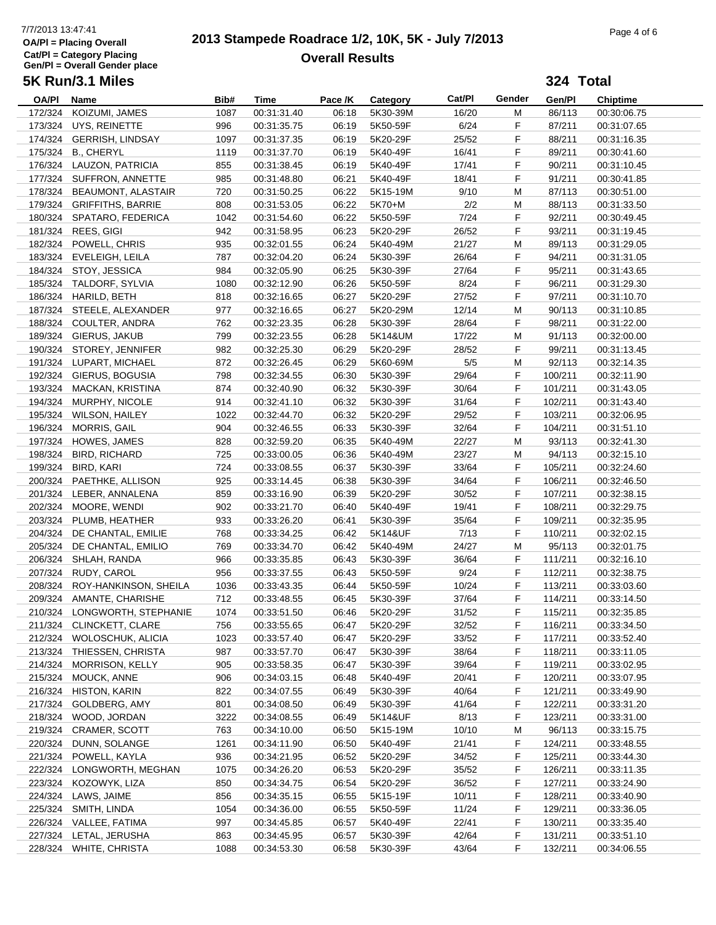## 7/7/2013 13:47:41<br> **2013 Stampede Roadrace 1/2, 10K, 5K - July 7/2013** Page 4 of 6 **Overall Results**

|         | 5K Run/3.1 Miles              |      |             |         |                   |        |        | 324 Total |                 |
|---------|-------------------------------|------|-------------|---------|-------------------|--------|--------|-----------|-----------------|
| OA/PI   | Name                          | Bib# | Time        | Pace /K | Category          | Cat/Pl | Gender | Gen/Pl    | <b>Chiptime</b> |
| 172/324 | KOIZUMI, JAMES                | 1087 | 00:31:31.40 | 06:18   | 5K30-39M          | 16/20  | M      | 86/113    | 00:30:06.75     |
|         | 173/324 UYS, REINETTE         | 996  | 00:31:35.75 | 06:19   | 5K50-59F          | 6/24   | F      | 87/211    | 00:31:07.65     |
|         | 174/324 GERRISH, LINDSAY      | 1097 | 00:31:37.35 | 06:19   | 5K20-29F          | 25/52  | F      | 88/211    | 00:31:16.35     |
|         | 175/324 B., CHERYL            | 1119 | 00:31:37.70 | 06:19   | 5K40-49F          | 16/41  | F      | 89/211    | 00:30:41.60     |
|         | 176/324 LAUZON, PATRICIA      | 855  | 00:31:38.45 | 06:19   | 5K40-49F          | 17/41  | F      | 90/211    | 00:31:10.45     |
|         | 177/324 SUFFRON, ANNETTE      | 985  | 00:31:48.80 | 06:21   | 5K40-49F          | 18/41  | F      | 91/211    | 00:30:41.85     |
|         | 178/324 BEAUMONT, ALASTAIR    | 720  | 00:31:50.25 | 06:22   | 5K15-19M          | 9/10   | M      | 87/113    | 00:30:51.00     |
|         | 179/324 GRIFFITHS, BARRIE     | 808  | 00:31:53.05 | 06:22   | 5K70+M            | 2/2    | M      | 88/113    | 00:31:33.50     |
|         | 180/324 SPATARO, FEDERICA     | 1042 | 00:31:54.60 | 06:22   | 5K50-59F          | 7/24   | F      | 92/211    | 00:30:49.45     |
|         | 181/324 REES, GIGI            | 942  | 00:31:58.95 | 06:23   | 5K20-29F          | 26/52  | F      | 93/211    | 00:31:19.45     |
|         | 182/324 POWELL, CHRIS         | 935  | 00:32:01.55 | 06:24   | 5K40-49M          | 21/27  | M      | 89/113    | 00:31:29.05     |
|         | 183/324 EVELEIGH, LEILA       | 787  | 00:32:04.20 | 06:24   | 5K30-39F          | 26/64  | F      | 94/211    | 00:31:31.05     |
|         | 184/324 STOY, JESSICA         | 984  | 00:32:05.90 | 06:25   | 5K30-39F          | 27/64  | F      | 95/211    | 00:31:43.65     |
|         | 185/324 TALDORF, SYLVIA       | 1080 | 00:32:12.90 | 06:26   | 5K50-59F          | 8/24   | F      | 96/211    | 00:31:29.30     |
|         | 186/324 HARILD, BETH          | 818  | 00:32:16.65 | 06:27   | 5K20-29F          | 27/52  | F      | 97/211    | 00:31:10.70     |
|         | 187/324 STEELE, ALEXANDER     | 977  | 00:32:16.65 | 06:27   | 5K20-29M          | 12/14  | M      | 90/113    | 00:31:10.85     |
|         | 188/324 COULTER, ANDRA        | 762  | 00:32:23.35 | 06:28   | 5K30-39F          | 28/64  | F      | 98/211    | 00:31:22.00     |
|         | 189/324 GIERUS, JAKUB         | 799  | 00:32:23.55 | 06:28   | 5K14&UM           | 17/22  | м      | 91/113    | 00:32:00.00     |
|         | 190/324 STOREY, JENNIFER      | 982  | 00:32:25.30 | 06:29   | 5K20-29F          | 28/52  | F      | 99/211    | 00:31:13.45     |
|         | 191/324 LUPART, MICHAEL       | 872  | 00:32:26.45 | 06:29   | 5K60-69M          | 5/5    | M      | 92/113    | 00:32:14.35     |
|         | 192/324 GIERUS, BOGUSIA       | 798  | 00:32:34.55 | 06:30   | 5K30-39F          | 29/64  | F      | 100/211   | 00:32:11.90     |
|         | 193/324 MACKAN, KRISTINA      | 874  | 00:32:40.90 | 06:32   | 5K30-39F          | 30/64  | F      | 101/211   | 00:31:43.05     |
|         | 194/324 MURPHY, NICOLE        | 914  | 00:32:41.10 | 06:32   | 5K30-39F          | 31/64  | F      | 102/211   | 00:31:43.40     |
|         | 195/324 WILSON, HAILEY        | 1022 | 00:32:44.70 | 06:32   | 5K20-29F          | 29/52  | F      | 103/211   | 00:32:06.95     |
|         | 196/324 MORRIS, GAIL          | 904  | 00:32:46.55 | 06:33   | 5K30-39F          | 32/64  | F      | 104/211   | 00:31:51.10     |
|         | 197/324 HOWES, JAMES          | 828  | 00:32:59.20 | 06:35   | 5K40-49M          | 22/27  | м      | 93/113    | 00:32:41.30     |
|         | 198/324 BIRD, RICHARD         | 725  | 00:33:00.05 | 06:36   | 5K40-49M          | 23/27  | M      | 94/113    | 00:32:15.10     |
|         | 199/324 BIRD, KARI            | 724  | 00:33:08.55 | 06:37   | 5K30-39F          | 33/64  | F      | 105/211   | 00:32:24.60     |
|         | 200/324 PAETHKE, ALLISON      | 925  | 00:33:14.45 | 06:38   | 5K30-39F          | 34/64  | F      | 106/211   | 00:32:46.50     |
|         | 201/324 LEBER, ANNALENA       | 859  | 00:33:16.90 | 06:39   | 5K20-29F          | 30/52  | F      | 107/211   | 00:32:38.15     |
|         | 202/324 MOORE, WENDI          | 902  | 00:33:21.70 | 06:40   | 5K40-49F          | 19/41  | F      | 108/211   | 00:32:29.75     |
|         | 203/324 PLUMB, HEATHER        | 933  | 00:33:26.20 | 06:41   | 5K30-39F          | 35/64  | F      | 109/211   | 00:32:35.95     |
|         | 204/324 DE CHANTAL, EMILIE    | 768  | 00:33:34.25 | 06:42   | 5K14&UF           | 7/13   | F      | 110/211   | 00:32:02.15     |
|         | 205/324 DE CHANTAL, EMILIO    | 769  | 00:33:34.70 | 06:42   | 5K40-49M          | 24/27  | M      | 95/113    | 00:32:01.75     |
|         | 206/324 SHLAH, RANDA          | 966  | 00:33:35.85 | 06:43   | 5K30-39F          | 36/64  | F      | 111/211   | 00:32:16.10     |
|         | 207/324 RUDY, CAROL           | 956  | 00:33:37.55 | 06:43   | 5K50-59F          | 9/24   | F      | 112/211   | 00:32:38.75     |
|         | 208/324 ROY-HANKINSON, SHEILA | 1036 | 00:33:43.35 | 06:44   | 5K50-59F          | 10/24  | F      | 113/211   | 00:33:03.60     |
|         | 209/324 AMANTE, CHARISHE      | 712  | 00:33:48.55 |         | 06:45    5K30-39F | 37/64  | F.     | 114/211   | 00:33:14.50     |
|         | 210/324 LONGWORTH, STEPHANIE  | 1074 | 00:33:51.50 | 06:46   | 5K20-29F          | 31/52  | F      | 115/211   | 00:32:35.85     |
|         | 211/324 CLINCKETT, CLARE      | 756  | 00:33:55.65 | 06:47   | 5K20-29F          | 32/52  | F      | 116/211   | 00:33:34.50     |
|         | 212/324 WOLOSCHUK, ALICIA     | 1023 | 00:33:57.40 | 06:47   | 5K20-29F          | 33/52  | F      | 117/211   | 00:33:52.40     |
|         | 213/324 THIESSEN, CHRISTA     | 987  | 00:33:57.70 | 06:47   | 5K30-39F          | 38/64  | F.     | 118/211   | 00:33:11.05     |
|         | 214/324 MORRISON, KELLY       | 905  | 00:33:58.35 | 06:47   | 5K30-39F          | 39/64  | F.     | 119/211   | 00:33:02.95     |
|         | 215/324 MOUCK, ANNE           | 906  | 00:34:03.15 | 06:48   | 5K40-49F          | 20/41  | F.     | 120/211   | 00:33:07.95     |
|         | 216/324 HISTON, KARIN         | 822  | 00:34:07.55 | 06:49   | 5K30-39F          | 40/64  | F.     | 121/211   | 00:33:49.90     |
|         | 217/324 GOLDBERG, AMY         | 801  | 00:34:08.50 | 06:49   | 5K30-39F          | 41/64  | F.     | 122/211   | 00:33:31.20     |
|         | 218/324 WOOD, JORDAN          | 3222 | 00:34:08.55 | 06:49   | 5K14&UF           | 8/13   | F      | 123/211   | 00:33:31.00     |
|         | 219/324 CRAMER, SCOTT         | 763  | 00:34:10.00 | 06:50   | 5K15-19M          | 10/10  | M      | 96/113    | 00:33:15.75     |
|         | 220/324 DUNN, SOLANGE         | 1261 | 00:34:11.90 | 06:50   | 5K40-49F          | 21/41  | F      | 124/211   | 00:33:48.55     |
|         | 221/324 POWELL, KAYLA         | 936  | 00:34:21.95 | 06:52   | 5K20-29F          | 34/52  | F.     | 125/211   | 00:33:44.30     |
|         | 222/324 LONGWORTH, MEGHAN     | 1075 | 00:34:26.20 | 06:53   | 5K20-29F          | 35/52  | F.     | 126/211   | 00:33:11.35     |
|         | 223/324 KOZOWYK, LIZA         | 850  | 00:34:34.75 | 06:54   | 5K20-29F          | 36/52  | F.     | 127/211   | 00:33:24.90     |
|         | 224/324 LAWS, JAIME           | 856  | 00:34:35.15 | 06:55   | 5K15-19F          | 10/11  | F.     | 128/211   | 00:33:40.90     |
|         | 225/324 SMITH, LINDA          | 1054 | 00:34:36.00 | 06:55   | 5K50-59F          | 11/24  | F.     | 129/211   | 00:33:36.05     |
|         | 226/324 VALLEE, FATIMA        | 997  | 00:34:45.85 | 06:57   | 5K40-49F          | 22/41  | F      | 130/211   | 00:33:35.40     |
|         | 227/324 LETAL, JERUSHA        | 863  | 00:34:45.95 | 06:57   | 5K30-39F          | 42/64  | F.     | 131/211   | 00:33:51.10     |
|         | 228/324 WHITE, CHRISTA        | 1088 | 00:34:53.30 | 06:58   | 5K30-39F          | 43/64  | F      | 132/211   | 00:34:06.55     |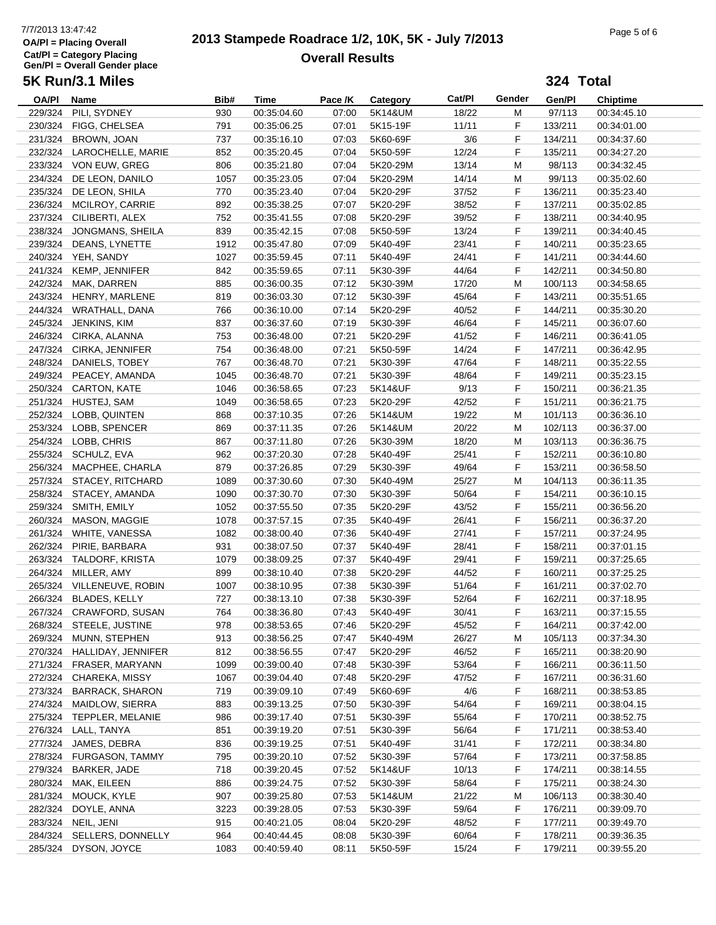## 7/7/2013 13:47:42<br> **2013 Stampede Roadrace 1/2, 10K, 5K - July 7/2013** Page 5 of 6 **Overall Results**

**324 Total**

| <b>OA/PI</b> | Name                      | Bib# | <b>Time</b> | Pace /K | Category | Cat/Pl | Gender | Gen/Pl  | <b>Chiptime</b> |
|--------------|---------------------------|------|-------------|---------|----------|--------|--------|---------|-----------------|
| 229/324      | PILI, SYDNEY              | 930  | 00:35:04.60 | 07:00   | 5K14&UM  | 18/22  | м      | 97/113  | 00:34:45.10     |
| 230/324      | FIGG, CHELSEA             | 791  | 00:35:06.25 | 07:01   | 5K15-19F | 11/11  | F      | 133/211 | 00:34:01.00     |
| 231/324      | BROWN, JOAN               | 737  | 00:35:16.10 | 07:03   | 5K60-69F | 3/6    | F      | 134/211 | 00:34:37.60     |
|              | 232/324 LAROCHELLE, MARIE | 852  | 00:35:20.45 | 07:04   | 5K50-59F | 12/24  | F      | 135/211 | 00:34:27.20     |
|              | 233/324 VON EUW, GREG     | 806  | 00:35:21.80 | 07:04   | 5K20-29M | 13/14  | M      | 98/113  | 00:34:32.45     |
| 234/324      | DE LEON, DANILO           | 1057 |             | 07:04   | 5K20-29M | 14/14  | M      | 99/113  |                 |
|              |                           |      | 00:35:23.05 |         |          |        |        |         | 00:35:02.60     |
| 235/324      | DE LEON, SHILA            | 770  | 00:35:23.40 | 07:04   | 5K20-29F | 37/52  | F      | 136/211 | 00:35:23.40     |
|              | 236/324 MCILROY, CARRIE   | 892  | 00:35:38.25 | 07:07   | 5K20-29F | 38/52  | F      | 137/211 | 00:35:02.85     |
|              | 237/324 CILIBERTI, ALEX   | 752  | 00:35:41.55 | 07:08   | 5K20-29F | 39/52  | F      | 138/211 | 00:34:40.95     |
| 238/324      | JONGMANS, SHEILA          | 839  | 00:35:42.15 | 07:08   | 5K50-59F | 13/24  | F      | 139/211 | 00:34:40.45     |
| 239/324      | DEANS, LYNETTE            | 1912 | 00:35:47.80 | 07:09   | 5K40-49F | 23/41  | F      | 140/211 | 00:35:23.65     |
|              | 240/324 YEH, SANDY        | 1027 | 00:35:59.45 | 07:11   | 5K40-49F | 24/41  | F      | 141/211 | 00:34:44.60     |
|              | 241/324 KEMP, JENNIFER    | 842  | 00:35:59.65 | 07:11   | 5K30-39F | 44/64  | F      | 142/211 | 00:34:50.80     |
| 242/324      | MAK, DARREN               | 885  | 00:36:00.35 | 07:12   | 5K30-39M | 17/20  | М      | 100/113 | 00:34:58.65     |
|              | 243/324 HENRY, MARLENE    | 819  | 00:36:03.30 | 07:12   | 5K30-39F | 45/64  | F      | 143/211 | 00:35:51.65     |
|              | 244/324 WRATHALL, DANA    | 766  | 00:36:10.00 | 07:14   | 5K20-29F | 40/52  | F      | 144/211 | 00:35:30.20     |
|              | 245/324 JENKINS, KIM      | 837  | 00:36:37.60 | 07:19   | 5K30-39F | 46/64  | F      | 145/211 | 00:36:07.60     |
|              | 246/324 CIRKA, ALANNA     | 753  | 00:36:48.00 | 07:21   | 5K20-29F | 41/52  | F      | 146/211 | 00:36:41.05     |
| 247/324      | CIRKA, JENNIFER           | 754  | 00:36:48.00 | 07:21   | 5K50-59F | 14/24  | F      | 147/211 | 00:36:42.95     |
| 248/324      | DANIELS, TOBEY            | 767  | 00:36:48.70 | 07:21   | 5K30-39F | 47/64  | F      | 148/211 | 00:35:22.55     |
|              | PEACEY, AMANDA            |      | 00:36:48.70 | 07:21   |          |        | F      |         |                 |
| 249/324      |                           | 1045 |             |         | 5K30-39F | 48/64  |        | 149/211 | 00:35:23.15     |
| 250/324      | <b>CARTON, KATE</b>       | 1046 | 00:36:58.65 | 07:23   | 5K14&UF  | 9/13   | F      | 150/211 | 00:36:21.35     |
| 251/324      | HUSTEJ, SAM               | 1049 | 00:36:58.65 | 07:23   | 5K20-29F | 42/52  | F      | 151/211 | 00:36:21.75     |
|              | 252/324 LOBB, QUINTEN     | 868  | 00:37:10.35 | 07:26   | 5K14&UM  | 19/22  | M      | 101/113 | 00:36:36.10     |
|              | 253/324 LOBB, SPENCER     | 869  | 00:37:11.35 | 07:26   | 5K14&UM  | 20/22  | M      | 102/113 | 00:36:37.00     |
|              | 254/324 LOBB, CHRIS       | 867  | 00:37:11.80 | 07:26   | 5K30-39M | 18/20  | М      | 103/113 | 00:36:36.75     |
| 255/324      | SCHULZ, EVA               | 962  | 00:37:20.30 | 07:28   | 5K40-49F | 25/41  | F      | 152/211 | 00:36:10.80     |
|              | 256/324 MACPHEE, CHARLA   | 879  | 00:37:26.85 | 07:29   | 5K30-39F | 49/64  | F      | 153/211 | 00:36:58.50     |
|              | 257/324 STACEY, RITCHARD  | 1089 | 00:37:30.60 | 07:30   | 5K40-49M | 25/27  | М      | 104/113 | 00:36:11.35     |
|              | 258/324 STACEY, AMANDA    | 1090 | 00:37:30.70 | 07:30   | 5K30-39F | 50/64  | F      | 154/211 | 00:36:10.15     |
| 259/324      | SMITH, EMILY              | 1052 | 00:37:55.50 | 07:35   | 5K20-29F | 43/52  | F      | 155/211 | 00:36:56.20     |
| 260/324      | <b>MASON, MAGGIE</b>      | 1078 | 00:37:57.15 | 07:35   | 5K40-49F | 26/41  | F      | 156/211 | 00:36:37.20     |
| 261/324      | WHITE, VANESSA            | 1082 | 00:38:00.40 | 07:36   | 5K40-49F | 27/41  | F      | 157/211 | 00:37:24.95     |
| 262/324      | PIRIE, BARBARA            | 931  | 00:38:07.50 | 07:37   | 5K40-49F | 28/41  | F      | 158/211 | 00:37:01.15     |
| 263/324      | TALDORF, KRISTA           | 1079 | 00:38:09.25 | 07:37   | 5K40-49F | 29/41  | F      | 159/211 | 00:37:25.65     |
| 264/324      | MILLER, AMY               | 899  | 00:38:10.40 | 07:38   | 5K20-29F | 44/52  | F      | 160/211 | 00:37:25.25     |
|              |                           |      |             |         | 5K30-39F |        |        |         |                 |
| 265/324      | VILLENEUVE, ROBIN         | 1007 | 00:38:10.95 | 07:38   |          | 51/64  | F      | 161/211 | 00:37:02.70     |
| 266/324      | <b>BLADES, KELLY</b>      | 727  | 00:38:13.10 | 07:38   | 5K30-39F | 52/64  | F      | 162/211 | 00:37:18.95     |
| 267/324      | CRAWFORD, SUSAN           | 764  | 00:38:36.80 | 07:43   | 5K40-49F | 30/41  | F      | 163/211 | 00:37:15.55     |
|              | 268/324 STEELE, JUSTINE   | 978  | 00:38:53.65 | 07:46   | 5K20-29F | 45/52  | F      | 164/211 | 00:37:42.00     |
| 269/324      | MUNN, STEPHEN             | 913  | 00:38:56.25 | 07:47   | 5K40-49M | 26/27  | M      | 105/113 | 00:37:34.30     |
| 270/324      | HALLIDAY, JENNIFER        | 812  | 00:38:56.55 | 07:47   | 5K20-29F | 46/52  | F      | 165/211 | 00:38:20.90     |
| 271/324      | FRASER, MARYANN           | 1099 | 00:39:00.40 | 07:48   | 5K30-39F | 53/64  | F      | 166/211 | 00:36:11.50     |
| 272/324      | CHAREKA, MISSY            | 1067 | 00:39:04.40 | 07:48   | 5K20-29F | 47/52  | F.     | 167/211 | 00:36:31.60     |
| 273/324      | <b>BARRACK, SHARON</b>    | 719  | 00:39:09.10 | 07:49   | 5K60-69F | 4/6    | F      | 168/211 | 00:38:53.85     |
| 274/324      | MAIDLOW, SIERRA           | 883  | 00:39:13.25 | 07:50   | 5K30-39F | 54/64  | F      | 169/211 | 00:38:04.15     |
| 275/324      | TEPPLER, MELANIE          | 986  | 00:39:17.40 | 07:51   | 5K30-39F | 55/64  | F      | 170/211 | 00:38:52.75     |
|              | 276/324 LALL, TANYA       | 851  | 00:39:19.20 | 07:51   | 5K30-39F | 56/64  | F      | 171/211 | 00:38:53.40     |
| 277/324      | JAMES, DEBRA              | 836  | 00:39:19.25 | 07:51   | 5K40-49F | 31/41  | F      | 172/211 | 00:38:34.80     |
| 278/324      | FURGASON, TAMMY           | 795  | 00:39:20.10 | 07:52   | 5K30-39F | 57/64  | F      | 173/211 | 00:37:58.85     |
| 279/324      | BARKER, JADE              | 718  | 00:39:20.45 | 07:52   | 5K14&UF  | 10/13  | F.     | 174/211 | 00:38:14.55     |
| 280/324      | MAK, EILEEN               |      |             |         |          | 58/64  | F.     | 175/211 |                 |
|              |                           | 886  | 00:39:24.75 | 07:52   | 5K30-39F |        |        |         | 00:38:24.30     |
| 281/324      | MOUCK, KYLE               | 907  | 00:39:25.80 | 07:53   | 5K14&UM  | 21/22  | M      | 106/113 | 00:38:30.40     |
| 282/324      | DOYLE, ANNA               | 3223 | 00:39:28.05 | 07:53   | 5K30-39F | 59/64  | F.     | 176/211 | 00:39:09.70     |
| 283/324      | NEIL, JENI                | 915  | 00:40:21.05 | 08:04   | 5K20-29F | 48/52  | F      | 177/211 | 00:39:49.70     |
| 284/324      | SELLERS, DONNELLY         | 964  | 00:40:44.45 | 08:08   | 5K30-39F | 60/64  | F.     | 178/211 | 00:39:36.35     |
|              | 285/324 DYSON, JOYCE      | 1083 | 00:40:59.40 | 08:11   | 5K50-59F | 15/24  | F      | 179/211 | 00:39:55.20     |